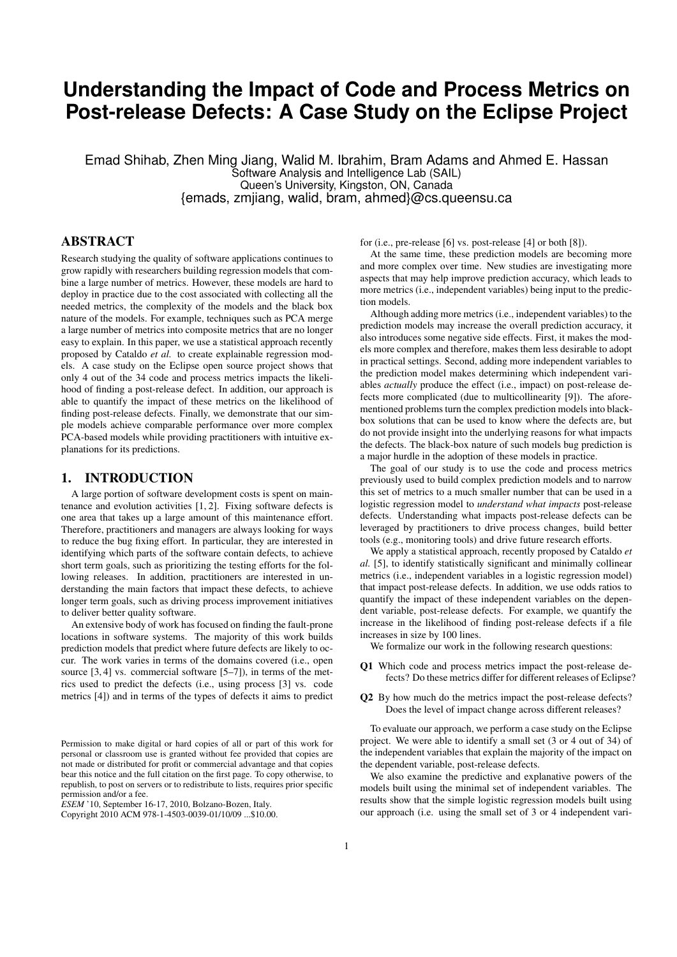# **Understanding the Impact of Code and Process Metrics on Post-release Defects: A Case Study on the Eclipse Project**

Emad Shihab, Zhen Ming Jiang, Walid M. Ibrahim, Bram Adams and Ahmed E. Hassan Software Analysis and Intelligence Lab (SAIL) Queen's University, Kingston, ON, Canada {emads, zmjiang, walid, bram, ahmed}@cs.queensu.ca

## ABSTRACT

Research studying the quality of software applications continues to grow rapidly with researchers building regression models that combine a large number of metrics. However, these models are hard to deploy in practice due to the cost associated with collecting all the needed metrics, the complexity of the models and the black box nature of the models. For example, techniques such as PCA merge a large number of metrics into composite metrics that are no longer easy to explain. In this paper, we use a statistical approach recently proposed by Cataldo *et al.* to create explainable regression models. A case study on the Eclipse open source project shows that only 4 out of the 34 code and process metrics impacts the likelihood of finding a post-release defect. In addition, our approach is able to quantify the impact of these metrics on the likelihood of finding post-release defects. Finally, we demonstrate that our simple models achieve comparable performance over more complex PCA-based models while providing practitioners with intuitive explanations for its predictions.

## 1. INTRODUCTION

A large portion of software development costs is spent on maintenance and evolution activities [1, 2]. Fixing software defects is one area that takes up a large amount of this maintenance effort. Therefore, practitioners and managers are always looking for ways to reduce the bug fixing effort. In particular, they are interested in identifying which parts of the software contain defects, to achieve short term goals, such as prioritizing the testing efforts for the following releases. In addition, practitioners are interested in understanding the main factors that impact these defects, to achieve longer term goals, such as driving process improvement initiatives to deliver better quality software.

An extensive body of work has focused on finding the fault-prone locations in software systems. The majority of this work builds prediction models that predict where future defects are likely to occur. The work varies in terms of the domains covered (i.e., open source [3, 4] vs. commercial software [5–7]), in terms of the metrics used to predict the defects (i.e., using process [3] vs. code metrics [4]) and in terms of the types of defects it aims to predict

*ESEM* '10, September 16-17, 2010, Bolzano-Bozen, Italy.

for (i.e., pre-release [6] vs. post-release [4] or both [8]).

At the same time, these prediction models are becoming more and more complex over time. New studies are investigating more aspects that may help improve prediction accuracy, which leads to more metrics (i.e., independent variables) being input to the prediction models.

Although adding more metrics (i.e., independent variables) to the prediction models may increase the overall prediction accuracy, it also introduces some negative side effects. First, it makes the models more complex and therefore, makes them less desirable to adopt in practical settings. Second, adding more independent variables to the prediction model makes determining which independent variables *actually* produce the effect (i.e., impact) on post-release defects more complicated (due to multicollinearity [9]). The aforementioned problems turn the complex prediction models into blackbox solutions that can be used to know where the defects are, but do not provide insight into the underlying reasons for what impacts the defects. The black-box nature of such models bug prediction is a major hurdle in the adoption of these models in practice.

The goal of our study is to use the code and process metrics previously used to build complex prediction models and to narrow this set of metrics to a much smaller number that can be used in a logistic regression model to *understand what impacts* post-release defects. Understanding what impacts post-release defects can be leveraged by practitioners to drive process changes, build better tools (e.g., monitoring tools) and drive future research efforts.

We apply a statistical approach, recently proposed by Cataldo *et al.* [5], to identify statistically significant and minimally collinear metrics (i.e., independent variables in a logistic regression model) that impact post-release defects. In addition, we use odds ratios to quantify the impact of these independent variables on the dependent variable, post-release defects. For example, we quantify the increase in the likelihood of finding post-release defects if a file increases in size by 100 lines.

We formalize our work in the following research questions:

- Q1 Which code and process metrics impact the post-release defects? Do these metrics differ for different releases of Eclipse?
- Q2 By how much do the metrics impact the post-release defects? Does the level of impact change across different releases?

To evaluate our approach, we perform a case study on the Eclipse project. We were able to identify a small set (3 or 4 out of 34) of the independent variables that explain the majority of the impact on the dependent variable, post-release defects.

We also examine the predictive and explanative powers of the models built using the minimal set of independent variables. The results show that the simple logistic regression models built using our approach (i.e. using the small set of 3 or 4 independent vari-

Permission to make digital or hard copies of all or part of this work for personal or classroom use is granted without fee provided that copies are not made or distributed for profit or commercial advantage and that copies bear this notice and the full citation on the first page. To copy otherwise, to republish, to post on servers or to redistribute to lists, requires prior specific permission and/or a fee.

Copyright 2010 ACM 978-1-4503-0039-01/10/09 ...\$10.00.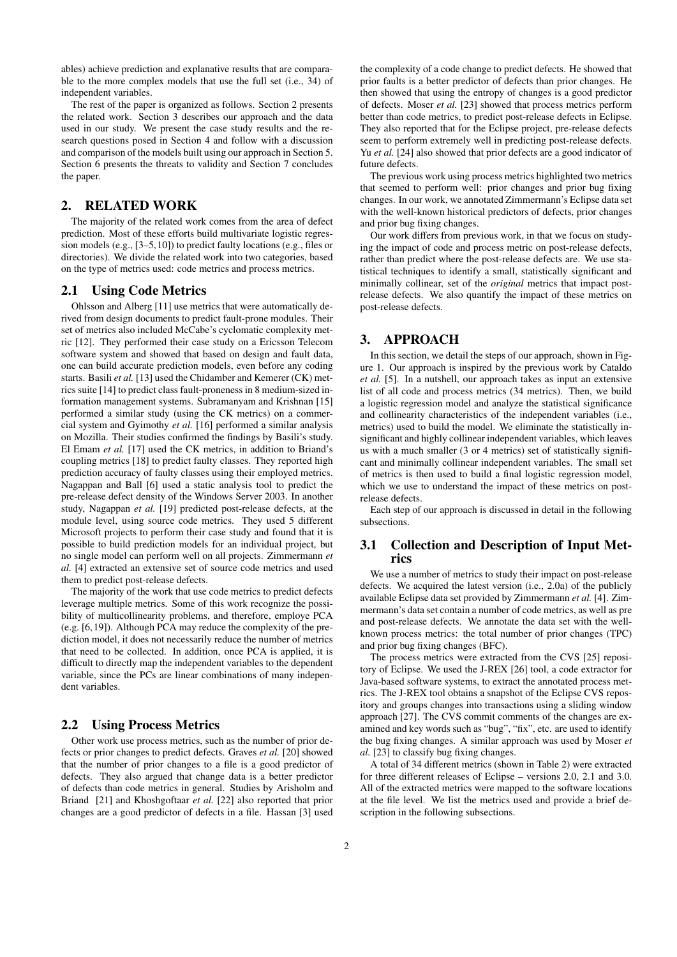ables) achieve prediction and explanative results that are comparable to the more complex models that use the full set (i.e., 34) of independent variables.

The rest of the paper is organized as follows. Section 2 presents the related work. Section 3 describes our approach and the data used in our study. We present the case study results and the research questions posed in Section 4 and follow with a discussion and comparison of the models built using our approach in Section 5. Section 6 presents the threats to validity and Section 7 concludes the paper.

# 2. RELATED WORK

The majority of the related work comes from the area of defect prediction. Most of these efforts build multivariate logistic regression models (e.g., [3–5,10]) to predict faulty locations (e.g., files or directories). We divide the related work into two categories, based on the type of metrics used: code metrics and process metrics.

## 2.1 Using Code Metrics

Ohlsson and Alberg [11] use metrics that were automatically derived from design documents to predict fault-prone modules. Their set of metrics also included McCabe's cyclomatic complexity metric [12]. They performed their case study on a Ericsson Telecom software system and showed that based on design and fault data, one can build accurate prediction models, even before any coding starts. Basili *et al.* [13] used the Chidamber and Kemerer (CK) metrics suite [14] to predict class fault-proneness in 8 medium-sized information management systems. Subramanyam and Krishnan [15] performed a similar study (using the CK metrics) on a commercial system and Gyimothy *et al.* [16] performed a similar analysis on Mozilla. Their studies confirmed the findings by Basili's study. El Emam *et al.* [17] used the CK metrics, in addition to Briand's coupling metrics [18] to predict faulty classes. They reported high prediction accuracy of faulty classes using their employed metrics. Nagappan and Ball [6] used a static analysis tool to predict the pre-release defect density of the Windows Server 2003. In another study, Nagappan *et al.* [19] predicted post-release defects, at the module level, using source code metrics. They used 5 different Microsoft projects to perform their case study and found that it is possible to build prediction models for an individual project, but no single model can perform well on all projects. Zimmermann *et al.* [4] extracted an extensive set of source code metrics and used them to predict post-release defects.

The majority of the work that use code metrics to predict defects leverage multiple metrics. Some of this work recognize the possibility of multicollinearity problems, and therefore, employe PCA (e.g. [6,19]). Although PCA may reduce the complexity of the prediction model, it does not necessarily reduce the number of metrics that need to be collected. In addition, once PCA is applied, it is difficult to directly map the independent variables to the dependent variable, since the PCs are linear combinations of many independent variables.

## 2.2 Using Process Metrics

Other work use process metrics, such as the number of prior defects or prior changes to predict defects. Graves *et al.* [20] showed that the number of prior changes to a file is a good predictor of defects. They also argued that change data is a better predictor of defects than code metrics in general. Studies by Arisholm and Briand [21] and Khoshgoftaar *et al.* [22] also reported that prior changes are a good predictor of defects in a file. Hassan [3] used

the complexity of a code change to predict defects. He showed that prior faults is a better predictor of defects than prior changes. He then showed that using the entropy of changes is a good predictor of defects. Moser *et al.* [23] showed that process metrics perform better than code metrics, to predict post-release defects in Eclipse. They also reported that for the Eclipse project, pre-release defects seem to perform extremely well in predicting post-release defects. Yu *et al.* [24] also showed that prior defects are a good indicator of future defects.

The previous work using process metrics highlighted two metrics that seemed to perform well: prior changes and prior bug fixing changes. In our work, we annotated Zimmermann's Eclipse data set with the well-known historical predictors of defects, prior changes and prior bug fixing changes.

Our work differs from previous work, in that we focus on studying the impact of code and process metric on post-release defects, rather than predict where the post-release defects are. We use statistical techniques to identify a small, statistically significant and minimally collinear, set of the *original* metrics that impact postrelease defects. We also quantify the impact of these metrics on post-release defects.

## 3. APPROACH

In this section, we detail the steps of our approach, shown in Figure 1. Our approach is inspired by the previous work by Cataldo *et al.* [5]. In a nutshell, our approach takes as input an extensive list of all code and process metrics (34 metrics). Then, we build a logistic regression model and analyze the statistical significance and collinearity characteristics of the independent variables (i.e., metrics) used to build the model. We eliminate the statistically insignificant and highly collinear independent variables, which leaves us with a much smaller (3 or 4 metrics) set of statistically significant and minimally collinear independent variables. The small set of metrics is then used to build a final logistic regression model, which we use to understand the impact of these metrics on postrelease defects.

Each step of our approach is discussed in detail in the following subsections.

## 3.1 Collection and Description of Input Metrics

We use a number of metrics to study their impact on post-release defects. We acquired the latest version (i.e., 2.0a) of the publicly available Eclipse data set provided by Zimmermann *et al.* [4]. Zimmermann's data set contain a number of code metrics, as well as pre and post-release defects. We annotate the data set with the wellknown process metrics: the total number of prior changes (TPC) and prior bug fixing changes (BFC).

The process metrics were extracted from the CVS [25] repository of Eclipse. We used the J-REX [26] tool, a code extractor for Java-based software systems, to extract the annotated process metrics. The J-REX tool obtains a snapshot of the Eclipse CVS repository and groups changes into transactions using a sliding window approach [27]. The CVS commit comments of the changes are examined and key words such as "bug", "fix", etc. are used to identify the bug fixing changes. A similar approach was used by Moser *et al.* [23] to classify bug fixing changes.

A total of 34 different metrics (shown in Table 2) were extracted for three different releases of Eclipse – versions 2.0, 2.1 and 3.0. All of the extracted metrics were mapped to the software locations at the file level. We list the metrics used and provide a brief description in the following subsections.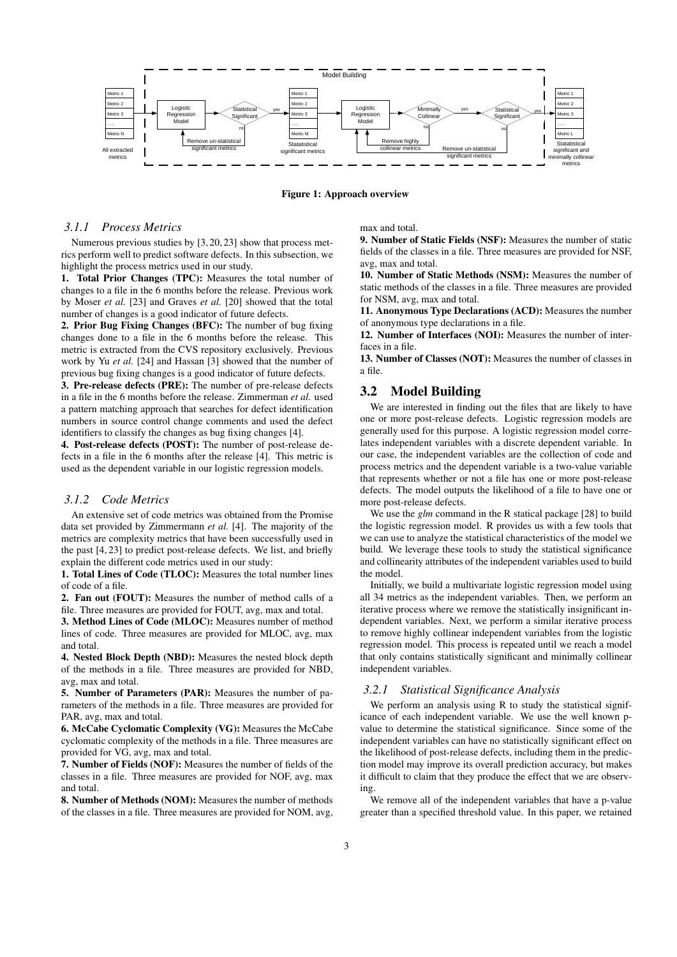

Figure 1: Approach overview

#### *3.1.1 Process Metrics*

Numerous previous studies by [3, 20, 23] show that process metrics perform well to predict software defects. In this subsection, we highlight the process metrics used in our study.

1. Total Prior Changes (TPC): Measures the total number of changes to a file in the 6 months before the release. Previous work by Moser *et al.* [23] and Graves *et al.* [20] showed that the total number of changes is a good indicator of future defects.

2. Prior Bug Fixing Changes (BFC): The number of bug fixing changes done to a file in the 6 months before the release. This metric is extracted from the CVS repository exclusively. Previous work by Yu *et al.* [24] and Hassan [3] showed that the number of previous bug fixing changes is a good indicator of future defects.

3. Pre-release defects (PRE): The number of pre-release defects in a file in the 6 months before the release. Zimmerman *et al.* used a pattern matching approach that searches for defect identification numbers in source control change comments and used the defect identifiers to classify the changes as bug fixing changes [4].

4. Post-release defects (POST): The number of post-release defects in a file in the 6 months after the release [4]. This metric is used as the dependent variable in our logistic regression models.

#### *3.1.2 Code Metrics*

An extensive set of code metrics was obtained from the Promise data set provided by Zimmermann *et al.* [4]. The majority of the metrics are complexity metrics that have been successfully used in the past [4, 23] to predict post-release defects. We list, and briefly explain the different code metrics used in our study:

1. Total Lines of Code (TLOC): Measures the total number lines of code of a file.

2. Fan out (FOUT): Measures the number of method calls of a file. Three measures are provided for FOUT, avg, max and total.

3. Method Lines of Code (MLOC): Measures number of method lines of code. Three measures are provided for MLOC, avg, max and total.

4. Nested Block Depth (NBD): Measures the nested block depth of the methods in a file. Three measures are provided for NBD, avg, max and total.

5. Number of Parameters (PAR): Measures the number of parameters of the methods in a file. Three measures are provided for PAR, avg, max and total.

6. McCabe Cyclomatic Complexity (VG): Measures the McCabe cyclomatic complexity of the methods in a file. Three measures are provided for VG, avg, max and total.

7. Number of Fields (NOF): Measures the number of fields of the classes in a file. Three measures are provided for NOF, avg, max and total.

8. Number of Methods (NOM): Measures the number of methods of the classes in a file. Three measures are provided for NOM, avg, max and total.

9. Number of Static Fields (NSF): Measures the number of static fields of the classes in a file. Three measures are provided for NSF, avg, max and total.

10. Number of Static Methods (NSM): Measures the number of static methods of the classes in a file. Three measures are provided for NSM, avg, max and total.

11. Anonymous Type Declarations (ACD): Measures the number of anonymous type declarations in a file.

12. Number of Interfaces (NOI): Measures the number of interfaces in a file.

13. Number of Classes (NOT): Measures the number of classes in a file.

## 3.2 Model Building

We are interested in finding out the files that are likely to have one or more post-release defects. Logistic regression models are generally used for this purpose. A logistic regression model correlates independent variables with a discrete dependent variable. In our case, the independent variables are the collection of code and process metrics and the dependent variable is a two-value variable that represents whether or not a file has one or more post-release defects. The model outputs the likelihood of a file to have one or more post-release defects.

We use the *glm* command in the R statical package [28] to build the logistic regression model. R provides us with a few tools that we can use to analyze the statistical characteristics of the model we build. We leverage these tools to study the statistical significance and collinearity attributes of the independent variables used to build the model.

Initially, we build a multivariate logistic regression model using all 34 metrics as the independent variables. Then, we perform an iterative process where we remove the statistically insignificant independent variables. Next, we perform a similar iterative process to remove highly collinear independent variables from the logistic regression model. This process is repeated until we reach a model that only contains statistically significant and minimally collinear independent variables.

## *3.2.1 Statistical Significance Analysis*

We perform an analysis using R to study the statistical significance of each independent variable. We use the well known pvalue to determine the statistical significance. Since some of the independent variables can have no statistically significant effect on the likelihood of post-release defects, including them in the prediction model may improve its overall prediction accuracy, but makes it difficult to claim that they produce the effect that we are observing.

We remove all of the independent variables that have a p-value greater than a specified threshold value. In this paper, we retained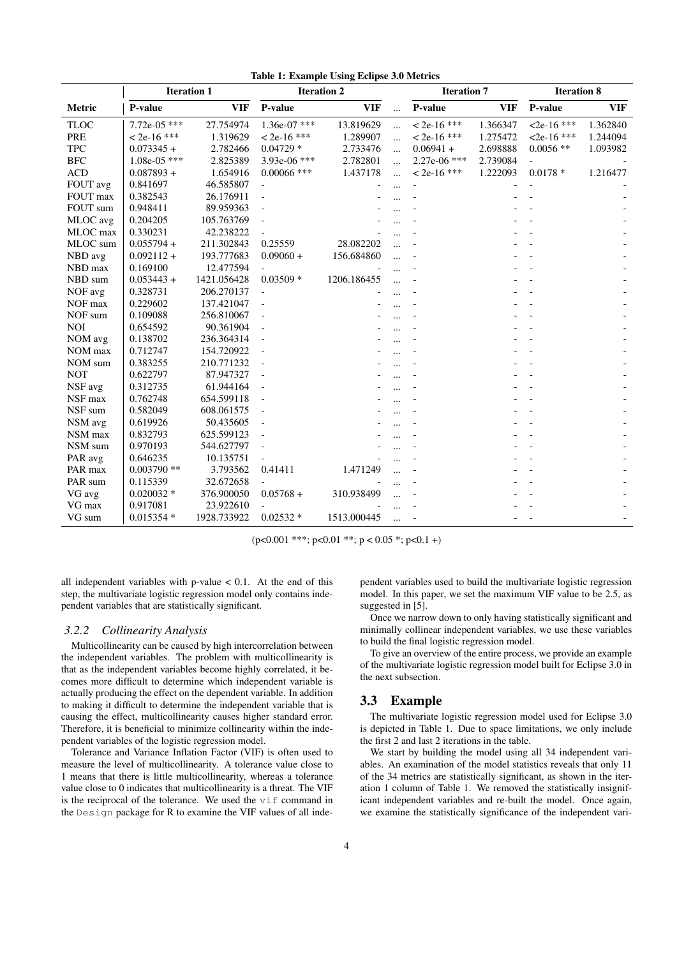|             | <b>Iteration 1</b> |             |                          | <b>Iteration 2</b> |           | <b>Iteration 7</b> |            | <b>Iteration 8</b> |            |
|-------------|--------------------|-------------|--------------------------|--------------------|-----------|--------------------|------------|--------------------|------------|
| Metric      | P-value            | <b>VIF</b>  | P-value                  | <b>VIF</b>         |           | P-value            | <b>VIF</b> | P-value            | <b>VIF</b> |
| <b>TLOC</b> | 7.72e-05 ***       | 27.754974   | 1.36e-07 ***             | 13.819629          | $\ddotsc$ | $< 2e-16$ ***      | 1.366347   | $2e-16$ ***        | 1.362840   |
| <b>PRE</b>  | $< 2e-16$ ***      | 1.319629    | $< 2e-16$ ***            | 1.289907           | $\ddotsc$ | $< 2e-16$ ***      | 1.275472   | $2e-16$ ***        | 1.244094   |
| <b>TPC</b>  | $0.073345 +$       | 2.782466    | $0.04729*$               | 2.733476           | $\ddotsc$ | $0.06941 +$        | 2.698888   | $0.0056**$         | 1.093982   |
| <b>BFC</b>  | $1.08e-05$ ***     | 2.825389    | 3.93e-06 ***             | 2.782801           | $\ddotsc$ | 2.27e-06 ***       | 2.739084   |                    |            |
| <b>ACD</b>  | $0.087893 +$       | 1.654916    | $0.00066$ ***            | 1.437178           | $\ddotsc$ | $< 2e-16$ ***      | 1.222093   | $0.0178*$          | 1.216477   |
| FOUT avg    | 0.841697           | 46.585807   |                          |                    |           |                    |            |                    |            |
| FOUT max    | 0.382543           | 26.176911   |                          |                    |           |                    |            |                    |            |
| FOUT sum    | 0.948411           | 89.959363   |                          |                    |           |                    |            |                    |            |
| MLOC avg    | 0.204205           | 105.763769  |                          |                    |           |                    |            |                    |            |
| MLOC max    | 0.330231           | 42.238222   |                          |                    |           |                    |            |                    |            |
| MLOC sum    | $0.055794 +$       | 211.302843  | 0.25559                  | 28.082202          |           |                    |            |                    |            |
| NBD avg     | $0.092112 +$       | 193.777683  | $0.09060 +$              | 156.684860         |           |                    |            |                    |            |
| NBD max     | 0.169100           | 12.477594   |                          |                    | $\ddotsc$ |                    |            |                    |            |
| NBD sum     | $0.053443 +$       | 1421.056428 | $0.03509*$               | 1206.186455        |           |                    |            |                    |            |
| NOF avg     | 0.328731           | 206.270137  | $\overline{\phantom{a}}$ |                    |           |                    |            |                    |            |
| NOF max     | 0.229602           | 137.421047  |                          |                    |           |                    |            |                    |            |
| NOF sum     | 0.109088           | 256.810067  |                          |                    |           |                    |            |                    |            |
| <b>NOI</b>  | 0.654592           | 90.361904   |                          |                    |           |                    |            |                    |            |
| NOM avg     | 0.138702           | 236.364314  |                          |                    |           |                    |            |                    |            |
| NOM max     | 0.712747           | 154.720922  |                          |                    |           |                    |            |                    |            |
| NOM sum     | 0.383255           | 210.771232  |                          |                    |           |                    |            |                    |            |
| <b>NOT</b>  | 0.622797           | 87.947327   |                          |                    |           |                    |            |                    |            |
| NSF avg     | 0.312735           | 61.944164   |                          |                    |           |                    |            |                    |            |
| NSF max     | 0.762748           | 654.599118  |                          |                    |           |                    |            |                    |            |
| NSF sum     | 0.582049           | 608.061575  |                          |                    |           |                    |            |                    |            |
| NSM avg     | 0.619926           | 50.435605   |                          |                    |           |                    |            |                    |            |
| NSM max     | 0.832793           | 625.599123  |                          |                    |           |                    |            |                    |            |
| NSM sum     | 0.970193           | 544.627797  |                          |                    |           |                    |            |                    |            |
| PAR avg     | 0.646235           | 10.135751   |                          |                    |           |                    |            |                    |            |
| PAR max     | $0.003790$ **      | 3.793562    | 0.41411                  | 1.471249           |           |                    |            |                    |            |
| PAR sum     | 0.115339           | 32.672658   |                          |                    |           |                    |            |                    |            |
| VG avg      | $0.020032$ *       | 376.900050  | $0.05768 +$              | 310.938499         |           |                    |            |                    |            |
| VG max      | 0.917081           | 23.922610   |                          |                    |           |                    |            |                    |            |
| VG sum      | $0.015354*$        | 1928.733922 | $0.02532*$               | 1513.000445        |           |                    |            |                    |            |

Table 1: Example Using Eclipse 3.0 Metrics

 $(p<0.001$  \*\*\*;  $p<0.01$  \*\*;  $p < 0.05$  \*;  $p<0.1 +$ )

all independent variables with p-value  $< 0.1$ . At the end of this step, the multivariate logistic regression model only contains independent variables that are statistically significant.

#### *3.2.2 Collinearity Analysis*

Multicollinearity can be caused by high intercorrelation between the independent variables. The problem with multicollinearity is that as the independent variables become highly correlated, it becomes more difficult to determine which independent variable is actually producing the effect on the dependent variable. In addition to making it difficult to determine the independent variable that is causing the effect, multicollinearity causes higher standard error. Therefore, it is beneficial to minimize collinearity within the independent variables of the logistic regression model.

Tolerance and Variance Inflation Factor (VIF) is often used to measure the level of multicollinearity. A tolerance value close to 1 means that there is little multicollinearity, whereas a tolerance value close to 0 indicates that multicollinearity is a threat. The VIF is the reciprocal of the tolerance. We used the vif command in the Design package for R to examine the VIF values of all independent variables used to build the multivariate logistic regression model. In this paper, we set the maximum VIF value to be 2.5, as suggested in [5].

Once we narrow down to only having statistically significant and minimally collinear independent variables, we use these variables to build the final logistic regression model.

To give an overview of the entire process, we provide an example of the multivariate logistic regression model built for Eclipse 3.0 in the next subsection.

#### 3.3 Example

The multivariate logistic regression model used for Eclipse 3.0 is depicted in Table 1. Due to space limitations, we only include the first 2 and last 2 iterations in the table.

We start by building the model using all 34 independent variables. An examination of the model statistics reveals that only 11 of the 34 metrics are statistically significant, as shown in the iteration 1 column of Table 1. We removed the statistically insignificant independent variables and re-built the model. Once again, we examine the statistically significance of the independent vari-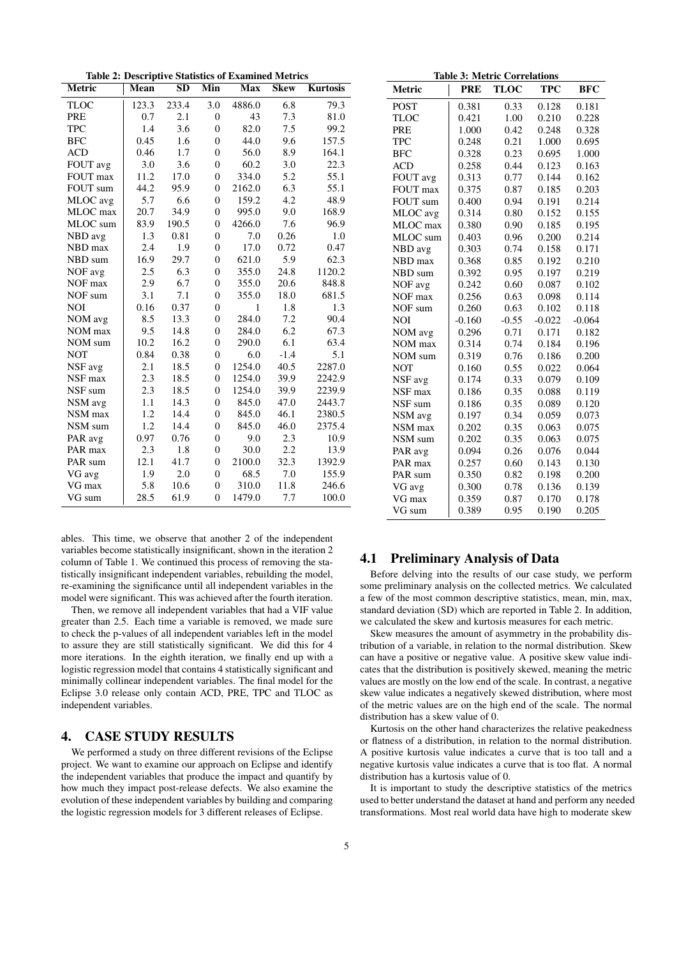| <b>Table 2: Descriptive Statistics of Examined Metrics</b> |       |                        |                  |            |             |                 |  |  |  |  |
|------------------------------------------------------------|-------|------------------------|------------------|------------|-------------|-----------------|--|--|--|--|
| Metric                                                     | Mean  | $\overline{\text{SD}}$ | Min              | <b>Max</b> | <b>Skew</b> | <b>Kurtosis</b> |  |  |  |  |
| <b>TLOC</b>                                                | 123.3 | 233.4                  | 3.0              | 4886.0     | 6.8         | 79.3            |  |  |  |  |
| <b>PRE</b>                                                 | 0.7   | 2.1                    | $\overline{0}$   | 43         | 7.3         | 81.0            |  |  |  |  |
| <b>TPC</b>                                                 | 1.4   | 3.6                    | $\overline{0}$   | 82.0       | 7.5         | 99.2            |  |  |  |  |
| <b>BFC</b>                                                 | 0.45  | 1.6                    | $\overline{0}$   | 44.0       | 9.6         | 157.5           |  |  |  |  |
| <b>ACD</b>                                                 | 0.46  | 1.7                    | $\overline{0}$   | 56.0       | 8.9         | 164.1           |  |  |  |  |
| FOUT avg                                                   | 3.0   | 3.6                    | $\overline{0}$   | 60.2       | 3.0         | 22.3            |  |  |  |  |
| FOUT max                                                   | 11.2  | 17.0                   | $\boldsymbol{0}$ | 334.0      | 5.2         | 55.1            |  |  |  |  |
| FOUT sum                                                   | 44.2  | 95.9                   | $\boldsymbol{0}$ | 2162.0     | 6.3         | 55.1            |  |  |  |  |
| MLOC avg                                                   | 5.7   | 6.6                    | $\overline{0}$   | 159.2      | 4.2         | 48.9            |  |  |  |  |
| MLOC max                                                   | 20.7  | 34.9                   | $\overline{0}$   | 995.0      | 9.0         | 168.9           |  |  |  |  |
| MLOC sum                                                   | 83.9  | 190.5                  | $\overline{0}$   | 4266.0     | 7.6         | 96.9            |  |  |  |  |
| NBD avg                                                    | 1.3   | 0.81                   | $\overline{0}$   | 7.0        | 0.26        | 1.0             |  |  |  |  |
| NBD max                                                    | 2.4   | 1.9                    | $\overline{0}$   | 17.0       | 0.72        | 0.47            |  |  |  |  |
| NBD sum                                                    | 16.9  | 29.7                   | $\overline{0}$   | 621.0      | 5.9         | 62.3            |  |  |  |  |
| NOF avg                                                    | 2.5   | 6.3                    | $\overline{0}$   | 355.0      | 24.8        | 1120.2          |  |  |  |  |
| NOF max                                                    | 2.9   | 6.7                    | $\overline{0}$   | 355.0      | 20.6        | 848.8           |  |  |  |  |
| NOF sum                                                    | 3.1   | 7.1                    | $\overline{0}$   | 355.0      | 18.0        | 681.5           |  |  |  |  |
| <b>NOI</b>                                                 | 0.16  | 0.37                   | $\overline{0}$   | 1          | 1.8         | 1.3             |  |  |  |  |
| NOM avg                                                    | 8.5   | 13.3                   | $\theta$         | 284.0      | 7.2         | 90.4            |  |  |  |  |
| NOM max                                                    | 9.5   | 14.8                   | $\overline{0}$   | 284.0      | 6.2         | 67.3            |  |  |  |  |
| NOM sum                                                    | 10.2  | 16.2                   | $\overline{0}$   | 290.0      | 6.1         | 63.4            |  |  |  |  |
| <b>NOT</b>                                                 | 0.84  | 0.38                   | $\overline{0}$   | 6.0        | $-1.4$      | 5.1             |  |  |  |  |
| NSF avg                                                    | 2.1   | 18.5                   | $\overline{0}$   | 1254.0     | 40.5        | 2287.0          |  |  |  |  |
| NSF max                                                    | 2.3   | 18.5                   | $\overline{0}$   | 1254.0     | 39.9        | 2242.9          |  |  |  |  |
| NSF sum                                                    | 2.3   | 18.5                   | $\overline{0}$   | 1254.0     | 39.9        | 2239.9          |  |  |  |  |
| NSM avg                                                    | 1.1   | 14.3                   | $\overline{0}$   | 845.0      | 47.0        | 2443.7          |  |  |  |  |
| NSM max                                                    | 1.2   | 14.4                   | $\overline{0}$   | 845.0      | 46.1        | 2380.5          |  |  |  |  |
| NSM sum                                                    | 1.2   | 14.4                   | $\overline{0}$   | 845.0      | 46.0        | 2375.4          |  |  |  |  |
| PAR avg                                                    | 0.97  | 0.76                   | $\overline{0}$   | 9.0        | 2.3         | 10.9            |  |  |  |  |
| PAR max                                                    | 2.3   | 1.8                    | $\overline{0}$   | 30.0       | 2.2         | 13.9            |  |  |  |  |
| PAR sum                                                    | 12.1  | 41.7                   | $\overline{0}$   | 2100.0     | 32.3        | 1392.9          |  |  |  |  |
| VG avg                                                     | 1.9   | 2.0                    | $\overline{0}$   | 68.5       | $7.0\,$     | 155.9           |  |  |  |  |
| VG max                                                     | 5.8   | 10.6                   | $\mathbf{0}$     | 310.0      | 11.8        | 246.6           |  |  |  |  |
| VG sum                                                     | 28.5  | 61.9                   | $\overline{0}$   | 1479.0     | 7.7         | 100.0           |  |  |  |  |

ables. This time, we observe that another 2 of the independent variables become statistically insignificant, shown in the iteration 2 column of Table 1. We continued this process of removing the statistically insignificant independent variables, rebuilding the model, re-examining the significance until all independent variables in the model were significant. This was achieved after the fourth iteration.

Then, we remove all independent variables that had a VIF value greater than 2.5. Each time a variable is removed, we made sure to check the p-values of all independent variables left in the model to assure they are still statistically significant. We did this for 4 more iterations. In the eighth iteration, we finally end up with a logistic regression model that contains 4 statistically significant and minimally collinear independent variables. The final model for the Eclipse 3.0 release only contain ACD, PRE, TPC and TLOC as independent variables.

## 4. CASE STUDY RESULTS

We performed a study on three different revisions of the Eclipse project. We want to examine our approach on Eclipse and identify the independent variables that produce the impact and quantify by how much they impact post-release defects. We also examine the evolution of these independent variables by building and comparing the logistic regression models for 3 different releases of Eclipse.

| <b>Table 3: Metric Correlations</b> |            |            |          |          |  |  |  |  |  |
|-------------------------------------|------------|------------|----------|----------|--|--|--|--|--|
| Metric                              | <b>TPC</b> | <b>BFC</b> |          |          |  |  |  |  |  |
| <b>POST</b>                         | 0.381      | 0.33       | 0.128    | 0.181    |  |  |  |  |  |
| <b>TLOC</b>                         | 0.421      | 1.00       | 0.210    | 0.228    |  |  |  |  |  |
| <b>PRE</b>                          | 1.000      | 0.42       | 0.248    | 0.328    |  |  |  |  |  |
| <b>TPC</b>                          | 0.248      | 0.21       | 1.000    | 0.695    |  |  |  |  |  |
| <b>BFC</b>                          | 0.328      | 0.23       | 0.695    | 1.000    |  |  |  |  |  |
| <b>ACD</b>                          | 0.258      | 0.44       | 0.123    | 0.163    |  |  |  |  |  |
| FOUT avg                            | 0.313      | 0.77       | 0.144    | 0.162    |  |  |  |  |  |
| FOUT max                            | 0.375      | 0.87       | 0.185    | 0.203    |  |  |  |  |  |
| FOUT sum                            | 0.400      | 0.94       | 0.191    | 0.214    |  |  |  |  |  |
| MLOC avg                            | 0.314      | 0.80       | 0.152    | 0.155    |  |  |  |  |  |
| MLOC max                            | 0.380      | 0.90       | 0.185    | 0.195    |  |  |  |  |  |
| MLOC sum                            | 0.403      | 0.96       | 0.200    | 0.214    |  |  |  |  |  |
| NBD avg                             | 0.303      | 0.74       | 0.158    | 0.171    |  |  |  |  |  |
| NBD max                             | 0.368      | 0.85       | 0.192    | 0.210    |  |  |  |  |  |
| NBD sum                             | 0.392      | 0.95       | 0.197    | 0.219    |  |  |  |  |  |
| NOF avg                             | 0.242      | 0.60       | 0.087    | 0.102    |  |  |  |  |  |
| NOF max                             | 0.256      | 0.63       | 0.098    | 0.114    |  |  |  |  |  |
| NOF sum                             | 0.260      | 0.63       | 0.102    | 0.118    |  |  |  |  |  |
| <b>NOI</b>                          | $-0.160$   | $-0.55$    | $-0.022$ | $-0.064$ |  |  |  |  |  |
| NOM avg                             | 0.296      | 0.71       | 0.171    | 0.182    |  |  |  |  |  |
| NOM max                             | 0.314      | 0.74       | 0.184    | 0.196    |  |  |  |  |  |
| NOM sum                             | 0.319      | 0.76       | 0.186    | 0.200    |  |  |  |  |  |
| <b>NOT</b>                          | 0.160      | 0.55       | 0.022    | 0.064    |  |  |  |  |  |
| NSF avg                             | 0.174      | 0.33       | 0.079    | 0.109    |  |  |  |  |  |
| NSF max                             | 0.186      | 0.35       | 0.088    | 0.119    |  |  |  |  |  |
| NSF sum                             | 0.186      | 0.35       | 0.089    | 0.120    |  |  |  |  |  |
| NSM avg                             | 0.197      | 0.34       | 0.059    | 0.073    |  |  |  |  |  |
| NSM max                             | 0.202      | 0.35       | 0.063    | 0.075    |  |  |  |  |  |
| NSM sum                             | 0.202      | 0.35       | 0.063    | 0.075    |  |  |  |  |  |
| PAR avg                             | 0.094      | 0.26       | 0.076    | 0.044    |  |  |  |  |  |
| PAR max                             | 0.257      | 0.60       | 0.143    | 0.130    |  |  |  |  |  |
| PAR sum                             | 0.350      | 0.82       | 0.198    | 0.200    |  |  |  |  |  |
| VG avg                              | 0.300      | 0.78       | 0.136    | 0.139    |  |  |  |  |  |
| VG max                              | 0.359      | 0.87       | 0.170    | 0.178    |  |  |  |  |  |
| VG sum                              | 0.389      | 0.95       | 0.190    | 0.205    |  |  |  |  |  |

## 4.1 Preliminary Analysis of Data

Before delving into the results of our case study, we perform some preliminary analysis on the collected metrics. We calculated a few of the most common descriptive statistics, mean, min, max, standard deviation (SD) which are reported in Table 2. In addition, we calculated the skew and kurtosis measures for each metric.

Skew measures the amount of asymmetry in the probability distribution of a variable, in relation to the normal distribution. Skew can have a positive or negative value. A positive skew value indicates that the distribution is positively skewed, meaning the metric values are mostly on the low end of the scale. In contrast, a negative skew value indicates a negatively skewed distribution, where most of the metric values are on the high end of the scale. The normal distribution has a skew value of 0.

Kurtosis on the other hand characterizes the relative peakedness or flatness of a distribution, in relation to the normal distribution. A positive kurtosis value indicates a curve that is too tall and a negative kurtosis value indicates a curve that is too flat. A normal distribution has a kurtosis value of 0.

It is important to study the descriptive statistics of the metrics used to better understand the dataset at hand and perform any needed transformations. Most real world data have high to moderate skew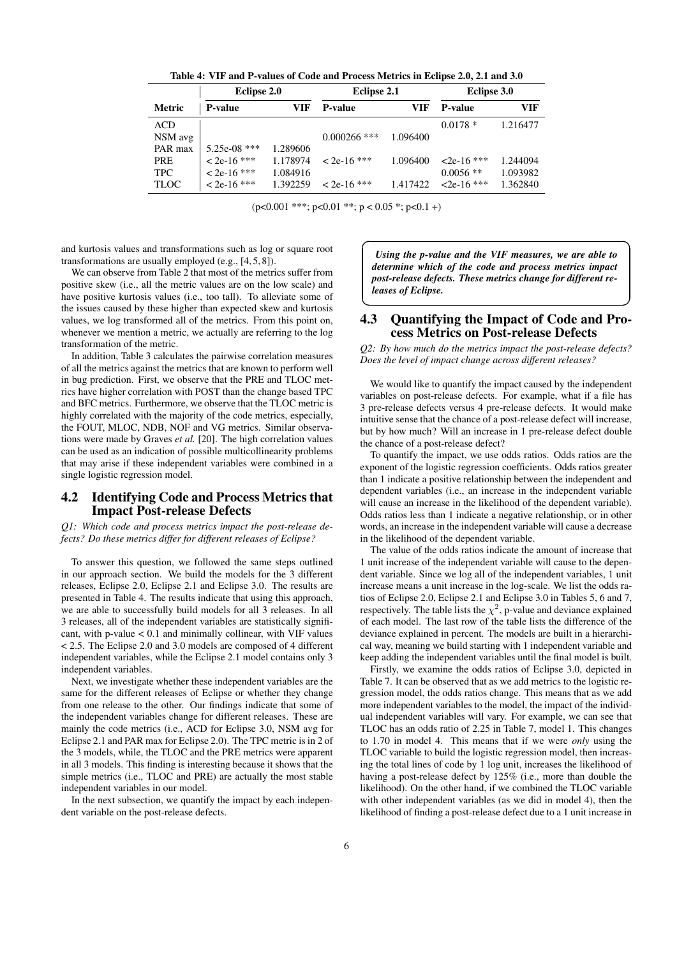| Table 4: VIF and P-values of Code and Process Metrics in Eclipse 2.0, 2.1 and 3.0 |  |
|-----------------------------------------------------------------------------------|--|
|-----------------------------------------------------------------------------------|--|

|               | <b>Eclipse 2.0</b> |          | <b>Eclipse 2.1</b> |          | <b>Eclipse 3.0</b> |          |  |
|---------------|--------------------|----------|--------------------|----------|--------------------|----------|--|
| <b>Metric</b> | <b>P-value</b>     | VIF      | <b>P-value</b>     | VIF      | <b>P-value</b>     | VIF      |  |
| <b>ACD</b>    |                    |          |                    |          | $0.0178*$          | 1.216477 |  |
| NSM avg       |                    |          | $0.000266$ ***     | 1.096400 |                    |          |  |
| PAR max       | $5.25e-08$ ***     | 1.289606 |                    |          |                    |          |  |
| <b>PRE</b>    | $< 2e-16$ ***      | 1.178974 | $<$ 2e-16 ***      | 1.096400 | $2e-16$ ***        | 1.244094 |  |
| <b>TPC</b>    | $< 2e-16$ ***      | 1.084916 |                    |          | $0.0056**$         | 1.093982 |  |
| <b>TLOC</b>   | $< 2e-16$ ***      | 1.392259 | $<$ 2e-16 ***      | 1.417422 | $2e-16$ ***        | 1.362840 |  |

 $(p<0.001$  \*\*\*;  $p<0.01$  \*\*;  $p < 0.05$  \*;  $p<0.1$  +)

☛

 $\searrow$ 

and kurtosis values and transformations such as log or square root transformations are usually employed (e.g., [4, 5, 8]).

We can observe from Table 2 that most of the metrics suffer from positive skew (i.e., all the metric values are on the low scale) and have positive kurtosis values (i.e., too tall). To alleviate some of the issues caused by these higher than expected skew and kurtosis values, we log transformed all of the metrics. From this point on, whenever we mention a metric, we actually are referring to the log transformation of the metric.

In addition, Table 3 calculates the pairwise correlation measures of all the metrics against the metrics that are known to perform well in bug prediction. First, we observe that the PRE and TLOC metrics have higher correlation with POST than the change based TPC and BFC metrics. Furthermore, we observe that the TLOC metric is highly correlated with the majority of the code metrics, especially, the FOUT, MLOC, NDB, NOF and VG metrics. Similar observations were made by Graves *et al.* [20]. The high correlation values can be used as an indication of possible multicollinearity problems that may arise if these independent variables were combined in a single logistic regression model.

## 4.2 Identifying Code and Process Metrics that Impact Post-release Defects

*Q1: Which code and process metrics impact the post-release defects? Do these metrics differ for different releases of Eclipse?*

To answer this question, we followed the same steps outlined in our approach section. We build the models for the 3 different releases, Eclipse 2.0, Eclipse 2.1 and Eclipse 3.0. The results are presented in Table 4. The results indicate that using this approach, we are able to successfully build models for all 3 releases. In all 3 releases, all of the independent variables are statistically significant, with  $p$ -value  $< 0.1$  and minimally collinear, with VIF values < 2.5. The Eclipse 2.0 and 3.0 models are composed of 4 different independent variables, while the Eclipse 2.1 model contains only 3 independent variables.

Next, we investigate whether these independent variables are the same for the different releases of Eclipse or whether they change from one release to the other. Our findings indicate that some of the independent variables change for different releases. These are mainly the code metrics (i.e., ACD for Eclipse 3.0, NSM avg for Eclipse 2.1 and PAR max for Eclipse 2.0). The TPC metric is in 2 of the 3 models, while, the TLOC and the PRE metrics were apparent in all 3 models. This finding is interesting because it shows that the simple metrics (i.e., TLOC and PRE) are actually the most stable independent variables in our model.

In the next subsection, we quantify the impact by each independent variable on the post-release defects.

*Using the p-value and the VIF measures, we are able to determine which of the code and process metrics impact post-release defects. These metrics change for different releases of Eclipse.*

✟

 $^{\prime}$ 

#### 4.3 Quantifying the Impact of Code and Process Metrics on Post-release Defects

*Q2: By how much do the metrics impact the post-release defects? Does the level of impact change across different releases?*

We would like to quantify the impact caused by the independent variables on post-release defects. For example, what if a file has 3 pre-release defects versus 4 pre-release defects. It would make intuitive sense that the chance of a post-release defect will increase, but by how much? Will an increase in 1 pre-release defect double the chance of a post-release defect?

To quantify the impact, we use odds ratios. Odds ratios are the exponent of the logistic regression coefficients. Odds ratios greater than 1 indicate a positive relationship between the independent and dependent variables (i.e., an increase in the independent variable will cause an increase in the likelihood of the dependent variable). Odds ratios less than 1 indicate a negative relationship, or in other words, an increase in the independent variable will cause a decrease in the likelihood of the dependent variable.

The value of the odds ratios indicate the amount of increase that 1 unit increase of the independent variable will cause to the dependent variable. Since we log all of the independent variables, 1 unit increase means a unit increase in the log-scale. We list the odds ratios of Eclipse 2.0, Eclipse 2.1 and Eclipse 3.0 in Tables 5, 6 and 7, respectively. The table lists the  $\chi^2$ , p-value and deviance explained of each model. The last row of the table lists the difference of the deviance explained in percent. The models are built in a hierarchical way, meaning we build starting with 1 independent variable and keep adding the independent variables until the final model is built.

Firstly, we examine the odds ratios of Eclipse 3.0, depicted in Table 7. It can be observed that as we add metrics to the logistic regression model, the odds ratios change. This means that as we add more independent variables to the model, the impact of the individual independent variables will vary. For example, we can see that TLOC has an odds ratio of 2.25 in Table 7, model 1. This changes to 1.70 in model 4. This means that if we were *only* using the TLOC variable to build the logistic regression model, then increasing the total lines of code by 1 log unit, increases the likelihood of having a post-release defect by 125% (i.e., more than double the likelihood). On the other hand, if we combined the TLOC variable with other independent variables (as we did in model 4), then the likelihood of finding a post-release defect due to a 1 unit increase in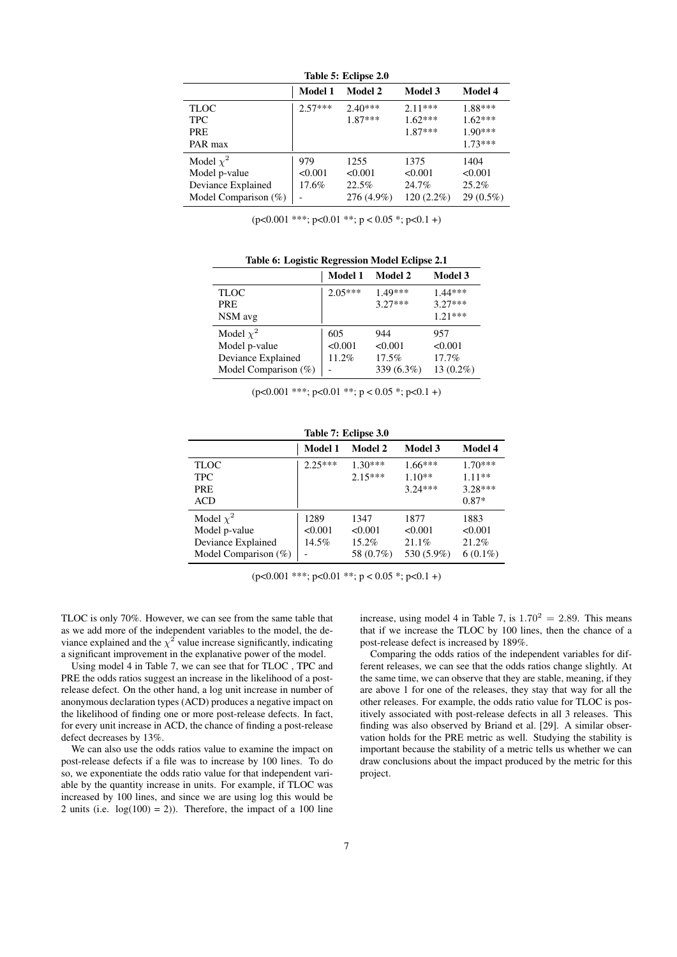| Table 5: Eclipse 2.0    |                |                |                |                |  |  |  |  |  |  |
|-------------------------|----------------|----------------|----------------|----------------|--|--|--|--|--|--|
|                         | <b>Model 1</b> | <b>Model 2</b> | <b>Model 3</b> | <b>Model 4</b> |  |  |  |  |  |  |
| <b>TLOC</b>             | $2.57***$      | $2.40***$      | $2.11***$      | 1.88***        |  |  |  |  |  |  |
| <b>TPC</b>              |                | $1.87***$      | $1.62***$      | $1.62***$      |  |  |  |  |  |  |
| <b>PRE</b>              |                |                | $1.87***$      | $1.90***$      |  |  |  |  |  |  |
| PAR max                 |                |                |                | $1.73***$      |  |  |  |  |  |  |
| Model $\chi^2$          | 979            | 1255           | 1375           | 1404           |  |  |  |  |  |  |
| Model p-value           | < 0.001        | < 0.001        | < 0.001        | < 0.001        |  |  |  |  |  |  |
| Deviance Explained      | 17.6%          | 22.5%          | 24.7%          | 25.2%          |  |  |  |  |  |  |
| Model Comparison $(\%)$ |                | 276 (4.9%)     | $120(2.2\%)$   | $29(0.5\%)$    |  |  |  |  |  |  |

 $T = T$ 

 $(p<0.001$  \*\*\*;  $p<0.01$  \*\*;  $p < 0.05$  \*;  $p<0.1 +$ )

Table 6: Logistic Regression Model Eclipse 2.1

|                      | <b>Model 1</b> | <b>Model 2</b> | <b>Model 3</b> |
|----------------------|----------------|----------------|----------------|
| <b>TLOC</b>          | $2.05***$      | $1.49***$      | $1.44***$      |
| <b>PRE</b>           |                | $3.27***$      | $3.27***$      |
| NSM avg              |                |                | $1.21***$      |
| Model $\chi^2$       | 605            | 944            | 957            |
| Model p-value        | < 0.001        | < 0.001        | < 0.001        |
| Deviance Explained   | 11.2%          | 17.5%          | 17.7%          |
| Model Comparison (%) |                | 339 (6.3%)     | $13(0.2\%)$    |

 $(p<0.001$  \*\*\*;  $p<0.01$  \*\*;  $p < 0.05$  \*;  $p<0.1 +$ )

Table 7: Eclipse 3.0

| raoic <i>i</i> . Exhipse <i>clo</i>                                              |                          |                                          |                                        |                                        |  |  |  |  |  |  |
|----------------------------------------------------------------------------------|--------------------------|------------------------------------------|----------------------------------------|----------------------------------------|--|--|--|--|--|--|
|                                                                                  | <b>Model 1</b>           | <b>Model 2</b>                           | <b>Model 3</b>                         | <b>Model 4</b>                         |  |  |  |  |  |  |
| <b>TLOC</b><br><b>TPC</b>                                                        | $2.25***$                | $1.30***$<br>$2.15***$                   | $1.66***$<br>$1.10**$                  | $1.70***$<br>$1.11**$                  |  |  |  |  |  |  |
| <b>PRE</b><br>ACD                                                                |                          |                                          | $3.24***$                              | $3.28***$<br>$0.87*$                   |  |  |  |  |  |  |
| Model $\chi^2$<br>Model p-value<br>Deviance Explained<br>Model Comparison $(\%)$ | 1289<br>< 0.001<br>14.5% | 1347<br>< 0.001<br>$15.2\%$<br>58 (0.7%) | 1877<br>< 0.001<br>21.1%<br>530 (5.9%) | 1883<br>< 0.001<br>21.2%<br>$6(0.1\%)$ |  |  |  |  |  |  |

 $(p<0.001$  \*\*\*;  $p<0.01$  \*\*;  $p < 0.05$  \*;  $p<0.1 +$ )

TLOC is only 70%. However, we can see from the same table that as we add more of the independent variables to the model, the deviance explained and the  $\chi^2$  value increase significantly, indicating a significant improvement in the explanative power of the model.

Using model 4 in Table 7, we can see that for TLOC , TPC and PRE the odds ratios suggest an increase in the likelihood of a postrelease defect. On the other hand, a log unit increase in number of anonymous declaration types (ACD) produces a negative impact on the likelihood of finding one or more post-release defects. In fact, for every unit increase in ACD, the chance of finding a post-release defect decreases by 13%.

We can also use the odds ratios value to examine the impact on post-release defects if a file was to increase by 100 lines. To do so, we exponentiate the odds ratio value for that independent variable by the quantity increase in units. For example, if TLOC was increased by 100 lines, and since we are using log this would be 2 units (i.e.  $log(100) = 2$ ). Therefore, the impact of a 100 line increase, using model 4 in Table 7, is  $1.70^2 = 2.89$ . This means that if we increase the TLOC by 100 lines, then the chance of a post-release defect is increased by 189%.

Comparing the odds ratios of the independent variables for different releases, we can see that the odds ratios change slightly. At the same time, we can observe that they are stable, meaning, if they are above 1 for one of the releases, they stay that way for all the other releases. For example, the odds ratio value for TLOC is positively associated with post-release defects in all 3 releases. This finding was also observed by Briand et al. [29]. A similar observation holds for the PRE metric as well. Studying the stability is important because the stability of a metric tells us whether we can draw conclusions about the impact produced by the metric for this project.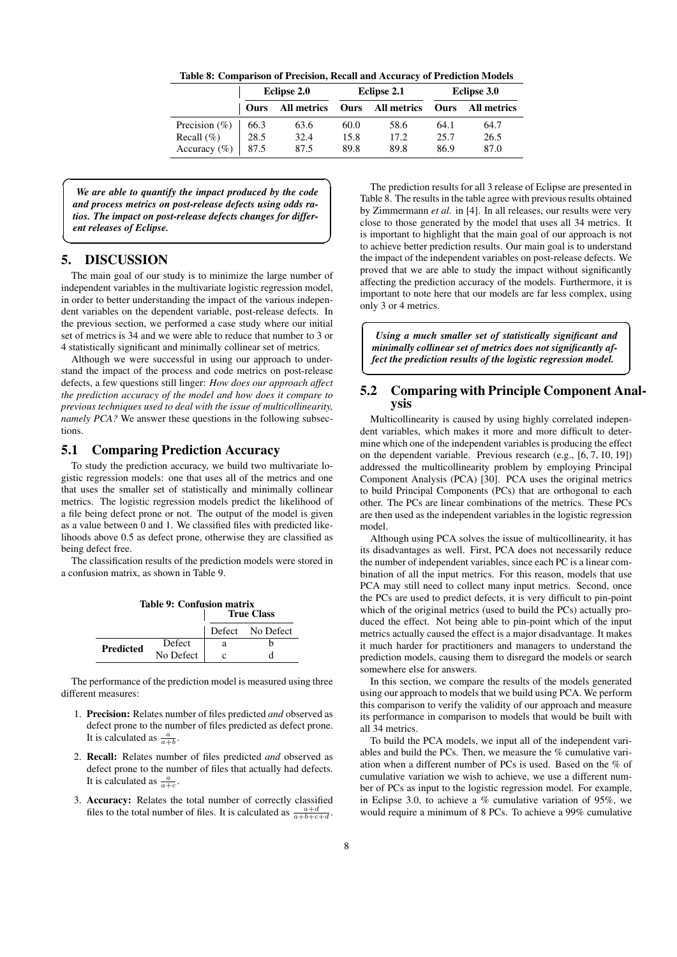|                  |      | <b>Eclipse 2.0</b> |      | Eclipse 2.1      | <b>Eclipse 3.0</b> |             |  |
|------------------|------|--------------------|------|------------------|--------------------|-------------|--|
|                  |      | Ours All metrics   |      | Ours All metrics | Ours               | All metrics |  |
| Precision $(\%)$ | 66.3 | 63.6               | 60.0 | 58.6             | 64.1               | 64.7        |  |
| Recall $(\%)$    | 28.5 | 32.4               | 15.8 | 17.2.            | 25.7               | 26.5        |  |
| Accuracy $(\%)$  | 87.5 | 87.5               | 89.8 | 89.8             | 86.9               | 87.0        |  |

 $\mathbf{a}^{\dagger}$ 

✠

 $\overline{a}$ 

✝

Table 8: Comparison of Precision, Recall and Accuracy of Prediction Models

*We are able to quantify the impact produced by the code and process metrics on post-release defects using odds ratios. The impact on post-release defects changes for different releases of Eclipse.*

## 5. DISCUSSION

☛

 $\searrow$ 

The main goal of our study is to minimize the large number of independent variables in the multivariate logistic regression model, in order to better understanding the impact of the various independent variables on the dependent variable, post-release defects. In the previous section, we performed a case study where our initial set of metrics is 34 and we were able to reduce that number to 3 or 4 statistically significant and minimally collinear set of metrics.

Although we were successful in using our approach to understand the impact of the process and code metrics on post-release defects, a few questions still linger: *How does our approach affect the prediction accuracy of the model and how does it compare to previous techniques used to deal with the issue of multicollinearity, namely PCA?* We answer these questions in the following subsections.

## 5.1 Comparing Prediction Accuracy

To study the prediction accuracy, we build two multivariate logistic regression models: one that uses all of the metrics and one that uses the smaller set of statistically and minimally collinear metrics. The logistic regression models predict the likelihood of a file being defect prone or not. The output of the model is given as a value between 0 and 1. We classified files with predicted likelihoods above 0.5 as defect prone, otherwise they are classified as being defect free.

The classification results of the prediction models were stored in a confusion matrix, as shown in Table 9.

Table 9: Confusion matrix True Class

|                  |           | Defect No Defect |
|------------------|-----------|------------------|
| <b>Predicted</b> | Defect    |                  |
|                  | No Defect |                  |

The performance of the prediction model is measured using three different measures:

- 1. Precision: Relates number of files predicted *and* observed as defect prone to the number of files predicted as defect prone. It is calculated as  $\frac{a}{a+b}$ .
- 2. Recall: Relates number of files predicted *and* observed as defect prone to the number of files that actually had defects. It is calculated as  $\frac{a}{a+c}$ .
- 3. Accuracy: Relates the total number of correctly classified files to the total number of files. It is calculated as  $\frac{a+d}{a+b+c+d}$ .

The prediction results for all 3 release of Eclipse are presented in Table 8. The results in the table agree with previous results obtained by Zimmermann *et al.* in [4]. In all releases, our results were very close to those generated by the model that uses all 34 metrics. It is important to highlight that the main goal of our approach is not to achieve better prediction results. Our main goal is to understand the impact of the independent variables on post-release defects. We proved that we are able to study the impact without significantly affecting the prediction accuracy of the models. Furthermore, it is important to note here that our models are far less complex, using only 3 or 4 metrics.

*Using a much smaller set of statistically significant and minimally collinear set of metrics does not significantly affect the prediction results of the logistic regression model.*

☎

✆

## 5.2 Comparing with Principle Component Analysis

Multicollinearity is caused by using highly correlated independent variables, which makes it more and more difficult to determine which one of the independent variables is producing the effect on the dependent variable. Previous research (e.g., [6, 7, 10, 19]) addressed the multicollinearity problem by employing Principal Component Analysis (PCA) [30]. PCA uses the original metrics to build Principal Components (PCs) that are orthogonal to each other. The PCs are linear combinations of the metrics. These PCs are then used as the independent variables in the logistic regression model.

Although using PCA solves the issue of multicollinearity, it has its disadvantages as well. First, PCA does not necessarily reduce the number of independent variables, since each PC is a linear combination of all the input metrics. For this reason, models that use PCA may still need to collect many input metrics. Second, once the PCs are used to predict defects, it is very difficult to pin-point which of the original metrics (used to build the PCs) actually produced the effect. Not being able to pin-point which of the input metrics actually caused the effect is a major disadvantage. It makes it much harder for practitioners and managers to understand the prediction models, causing them to disregard the models or search somewhere else for answers.

In this section, we compare the results of the models generated using our approach to models that we build using PCA. We perform this comparison to verify the validity of our approach and measure its performance in comparison to models that would be built with all 34 metrics.

To build the PCA models, we input all of the independent variables and build the PCs. Then, we measure the % cumulative variation when a different number of PCs is used. Based on the % of cumulative variation we wish to achieve, we use a different number of PCs as input to the logistic regression model. For example, in Eclipse 3.0, to achieve a % cumulative variation of 95%, we would require a minimum of 8 PCs. To achieve a 99% cumulative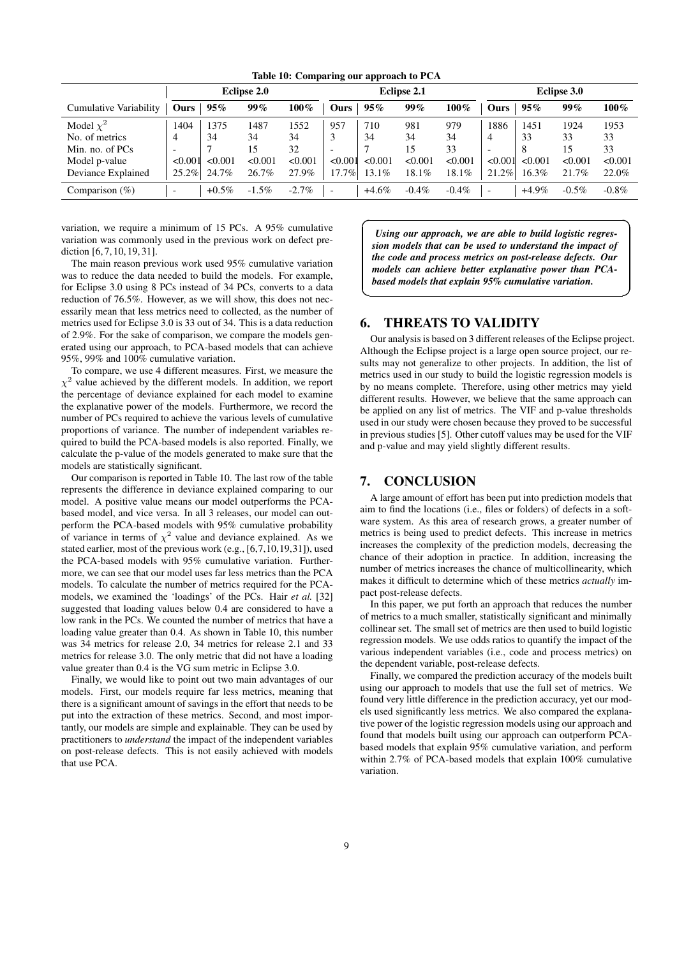|                               | <b>Eclipse 2.0</b> |          |          |          | <b>Eclipse 2.1</b>       |          |          | Eclipse 3.0 |                          |          |          |          |
|-------------------------------|--------------------|----------|----------|----------|--------------------------|----------|----------|-------------|--------------------------|----------|----------|----------|
| <b>Cumulative Variability</b> | <b>Ours</b>        | 95%      | $99\%$   | $100\%$  | <b>Ours</b>              | 95%      | 99%      | $100\%$     | Ours                     | 95%      | $99\%$   | $100\%$  |
| Model $\chi^2$                | 1404               | 1375     | 1487     | 1552     | 957                      | 710      | 981      | 979         | 1886                     | 1451     | 1924     | 1953     |
| No. of metrics                | 4                  | 34       | 34       | 34       | 3                        | 34       | 34       | 34          | $\overline{4}$           | 33       | 33       | 33       |
| Min. no. of PCs               |                    |          | 15       | 32       |                          |          | 15       | 33          |                          | 8        | 15       | 33       |
| Model p-value                 | < 0.001            | < 0.001  | < 0.001  | < 0.001  | < 0.001                  | < 0.001  | < 0.001  | < 0.001     | < 0.001                  | < 0.001  | < 0.001  | < 0.001  |
| Deviance Explained            | $25.2\%$           | 24.7%    | 26.7%    | 27.9%    | $17.7\%$                 | 13.1%    | 18.1%    | 18.1%       | $21.2\%$                 | 16.3%    | 21.7%    | 22.0%    |
| Comparison $(\%)$             | $\overline{a}$     | $+0.5\%$ | $-1.5\%$ | $-2.7\%$ | $\overline{\phantom{a}}$ | $+4.6\%$ | $-0.4\%$ | $-0.4\%$    | $\overline{\phantom{a}}$ | $+4.9\%$ | $-0.5\%$ | $-0.8\%$ |

☛

 $\overline{\phantom{0}}$ 

Table 10: Comparing our approach to PCA

variation, we require a minimum of 15 PCs. A 95% cumulative variation was commonly used in the previous work on defect prediction [6, 7, 10, 19, 31].

The main reason previous work used 95% cumulative variation was to reduce the data needed to build the models. For example, for Eclipse 3.0 using 8 PCs instead of 34 PCs, converts to a data reduction of 76.5%. However, as we will show, this does not necessarily mean that less metrics need to collected, as the number of metrics used for Eclipse 3.0 is 33 out of 34. This is a data reduction of 2.9%. For the sake of comparison, we compare the models generated using our approach, to PCA-based models that can achieve 95%, 99% and 100% cumulative variation.

To compare, we use 4 different measures. First, we measure the  $\chi^2$  value achieved by the different models. In addition, we report the percentage of deviance explained for each model to examine the explanative power of the models. Furthermore, we record the number of PCs required to achieve the various levels of cumulative proportions of variance. The number of independent variables required to build the PCA-based models is also reported. Finally, we calculate the p-value of the models generated to make sure that the models are statistically significant.

Our comparison is reported in Table 10. The last row of the table represents the difference in deviance explained comparing to our model. A positive value means our model outperforms the PCAbased model, and vice versa. In all 3 releases, our model can outperform the PCA-based models with 95% cumulative probability of variance in terms of  $\chi^2$  value and deviance explained. As we stated earlier, most of the previous work (e.g., [6,7,10,19,31]), used the PCA-based models with 95% cumulative variation. Furthermore, we can see that our model uses far less metrics than the PCA models. To calculate the number of metrics required for the PCAmodels, we examined the 'loadings' of the PCs. Hair *et al.* [32] suggested that loading values below 0.4 are considered to have a low rank in the PCs. We counted the number of metrics that have a loading value greater than 0.4. As shown in Table 10, this number was 34 metrics for release 2.0, 34 metrics for release 2.1 and 33 metrics for release 3.0. The only metric that did not have a loading value greater than 0.4 is the VG sum metric in Eclipse 3.0.

Finally, we would like to point out two main advantages of our models. First, our models require far less metrics, meaning that there is a significant amount of savings in the effort that needs to be put into the extraction of these metrics. Second, and most importantly, our models are simple and explainable. They can be used by practitioners to *understand* the impact of the independent variables on post-release defects. This is not easily achieved with models that use PCA.

*Using our approach, we are able to build logistic regression models that can be used to understand the impact of the code and process metrics on post-release defects. Our models can achieve better explanative power than PCAbased models that explain 95% cumulative variation.*

✟

 $^{\prime}$ 

## 6. THREATS TO VALIDITY

Our analysis is based on 3 different releases of the Eclipse project. Although the Eclipse project is a large open source project, our results may not generalize to other projects. In addition, the list of metrics used in our study to build the logistic regression models is by no means complete. Therefore, using other metrics may yield different results. However, we believe that the same approach can be applied on any list of metrics. The VIF and p-value thresholds used in our study were chosen because they proved to be successful in previous studies [5]. Other cutoff values may be used for the VIF and p-value and may yield slightly different results.

### 7. CONCLUSION

A large amount of effort has been put into prediction models that aim to find the locations (i.e., files or folders) of defects in a software system. As this area of research grows, a greater number of metrics is being used to predict defects. This increase in metrics increases the complexity of the prediction models, decreasing the chance of their adoption in practice. In addition, increasing the number of metrics increases the chance of multicollinearity, which makes it difficult to determine which of these metrics *actually* impact post-release defects.

In this paper, we put forth an approach that reduces the number of metrics to a much smaller, statistically significant and minimally collinear set. The small set of metrics are then used to build logistic regression models. We use odds ratios to quantify the impact of the various independent variables (i.e., code and process metrics) on the dependent variable, post-release defects.

Finally, we compared the prediction accuracy of the models built using our approach to models that use the full set of metrics. We found very little difference in the prediction accuracy, yet our models used significantly less metrics. We also compared the explanative power of the logistic regression models using our approach and found that models built using our approach can outperform PCAbased models that explain 95% cumulative variation, and perform within 2.7% of PCA-based models that explain 100% cumulative variation.